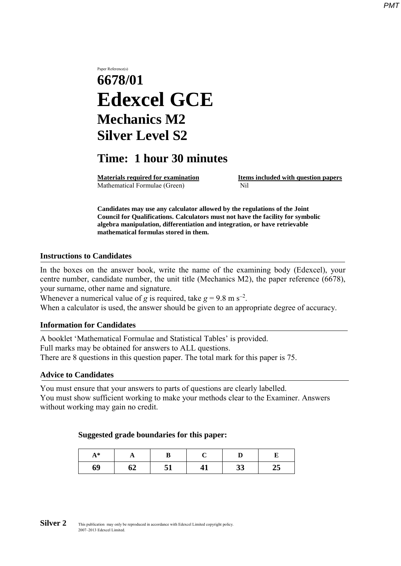# Paper Reference(s) **6678/01 Edexcel GCE Mechanics M2 Silver Level S2**

# **Time: 1 hour 30 minutes**

Mathematical Formulae (Green)Nil

**Materials required for examination Items included with question papers** 

**Candidates may use any calculator allowed by the regulations of the Joint Council for Qualifications. Calculators must not have the facility for symbolic algebra manipulation, differentiation and integration, or have retrievable mathematical formulas stored in them.**

#### **Instructions to Candidates**

In the boxes on the answer book, write the name of the examining body (Edexcel), your centre number, candidate number, the unit title (Mechanics M2), the paper reference (6678), your surname, other name and signature.

Whenever a numerical value of *g* is required, take  $g = 9.8$  m s<sup>-2</sup>.

When a calculator is used, the answer should be given to an appropriate degree of accuracy.

#### **Information for Candidates**

A booklet 'Mathematical Formulae and Statistical Tables' is provided. Full marks may be obtained for answers to ALL questions. There are 8 questions in this question paper. The total mark for this paper is 75.

#### **Advice to Candidates**

You must ensure that your answers to parts of questions are clearly labelled. You must show sufficient working to make your methods clear to the Examiner. Answers without working may gain no credit.

#### **Suggested grade boundaries for this paper:**

| $A^*$ | A  |    |    |          |    |
|-------|----|----|----|----------|----|
| 69    | 04 | ັ້ | 41 | າາ<br>IJ | ∠∠ |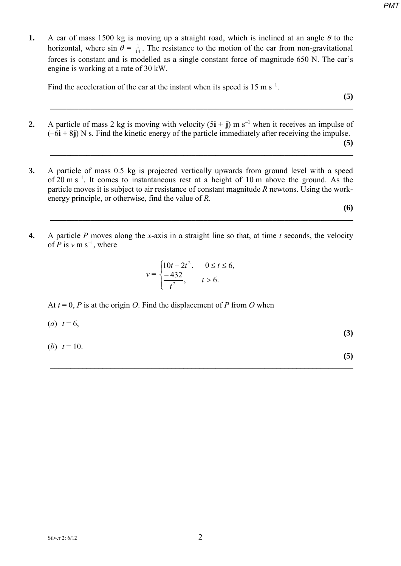**1.** A car of mass 1500 kg is moving up a straight road, which is inclined at an angle *θ* to the horizontal, where sin  $\theta = \frac{1}{14}$ . The resistance to the motion of the car from non-gravitational forces is constant and is modelled as a single constant force of magnitude 650 N. The car's engine is working at a rate of 30 kW.

Find the acceleration of the car at the instant when its speed is  $15 \text{ m s}^{-1}$ .

**2.** A particle of mass 2 kg is moving with velocity  $(5\mathbf{i} + \mathbf{j})$  m s<sup>-1</sup> when it receives an impulse of  $(-6i + 8j)$  N s. Find the kinetic energy of the particle immediately after receiving the impulse.

**\_\_\_\_\_\_\_\_\_\_\_\_\_\_\_\_\_\_\_\_\_\_\_\_\_\_\_\_\_\_\_\_\_\_\_\_\_\_\_\_\_\_\_\_\_\_\_\_\_\_\_\_\_\_\_\_\_\_\_\_\_\_\_\_\_\_\_\_\_\_\_\_\_\_\_** 

**(5) \_\_\_\_\_\_\_\_\_\_\_\_\_\_\_\_\_\_\_\_\_\_\_\_\_\_\_\_\_\_\_\_\_\_\_\_\_\_\_\_\_\_\_\_\_\_\_\_\_\_\_\_\_\_\_\_\_\_\_\_\_\_\_\_\_\_\_\_\_\_\_\_\_\_\_** 

**(5)**

**3.** A particle of mass 0.5 kg is projected vertically upwards from ground level with a speed of  $20 \text{ m s}^{-1}$ . It comes to instantaneous rest at a height of 10 m above the ground. As the particle moves it is subject to air resistance of constant magnitude *R* newtons. Using the workenergy principle, or otherwise, find the value of *R*.

**(6)**

**4.** A particle *P* moves along the *x*-axis in a straight line so that, at time *t* seconds, the velocity of *P* is  $v$  m s<sup>-1</sup>, where

**\_\_\_\_\_\_\_\_\_\_\_\_\_\_\_\_\_\_\_\_\_\_\_\_\_\_\_\_\_\_\_\_\_\_\_\_\_\_\_\_\_\_\_\_\_\_\_\_\_\_\_\_\_\_\_\_\_\_\_\_\_\_\_\_\_\_\_\_\_\_\_\_\_\_\_** 

$$
v = \begin{cases} 10t - 2t^2, & 0 \le t \le 6, \\ \frac{-432}{t^2}, & t > 6. \end{cases}
$$

At  $t = 0$ , *P* is at the origin *O*. Find the displacement of *P* from *O* when

$$
(a) \t t = 6,\t(3)
$$

**\_\_\_\_\_\_\_\_\_\_\_\_\_\_\_\_\_\_\_\_\_\_\_\_\_\_\_\_\_\_\_\_\_\_\_\_\_\_\_\_\_\_\_\_\_\_\_\_\_\_\_\_\_\_\_\_\_\_\_\_\_\_\_\_\_\_\_\_\_\_\_\_\_\_\_** 

(*b*)  $t = 10$ .

**(5)**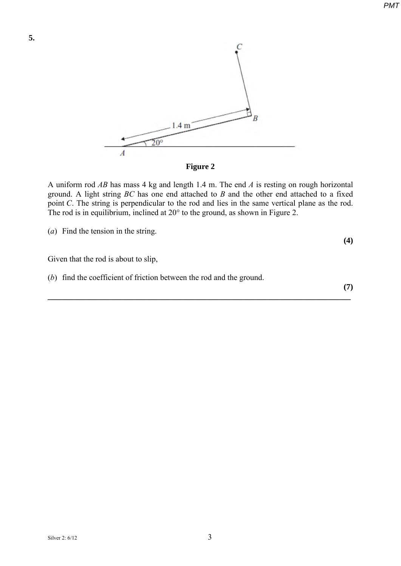



A uniform rod *AB* has mass 4 kg and length 1.4 m. The end *A* is resting on rough horizontal ground. A light string *BC* has one end attached to *B* and the other end attached to a fixed point *C*. The string is perpendicular to the rod and lies in the same vertical plane as the rod. The rod is in equilibrium, inclined at 20° to the ground, as shown in Figure 2.

**\_\_\_\_\_\_\_\_\_\_\_\_\_\_\_\_\_\_\_\_\_\_\_\_\_\_\_\_\_\_\_\_\_\_\_\_\_\_\_\_\_\_\_\_\_\_\_\_\_\_\_\_\_\_\_\_\_\_\_\_\_\_\_\_\_\_\_\_\_\_\_\_\_\_\_** 

(*a*) Find the tension in the string.

Given that the rod is about to slip,

(*b*) find the coefficient of friction between the rod and the ground.

**(7)**

**(4)**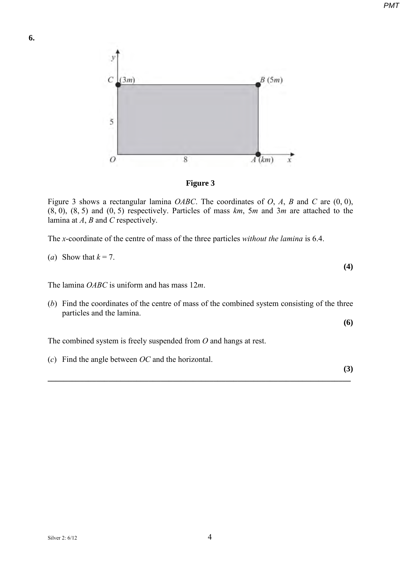

**Figure 3**

Figure 3 shows a rectangular lamina *OABC*. The coordinates of *O*, *A*, *B* and *C* are (0, 0), (8, 0), (8, 5) and (0, 5) respectively. Particles of mass *km*, 5*m* and 3*m* are attached to the lamina at *A*, *B* and *C* respectively.

The *x*-coordinate of the centre of mass of the three particles *without the lamina* is 6.4.

(a) Show that 
$$
k = 7
$$
.

The lamina *OABC* is uniform and has mass 12*m*.

(*b*) Find the coordinates of the centre of mass of the combined system consisting of the three particles and the lamina.

**(6)**

**(4)**

The combined system is freely suspended from *O* and hangs at rest.

(*c*) Find the angle between *OC* and the horizontal.

**(3) \_\_\_\_\_\_\_\_\_\_\_\_\_\_\_\_\_\_\_\_\_\_\_\_\_\_\_\_\_\_\_\_\_\_\_\_\_\_\_\_\_\_\_\_\_\_\_\_\_\_\_\_\_\_\_\_\_\_\_\_\_\_\_\_\_\_\_\_\_\_\_\_\_\_\_**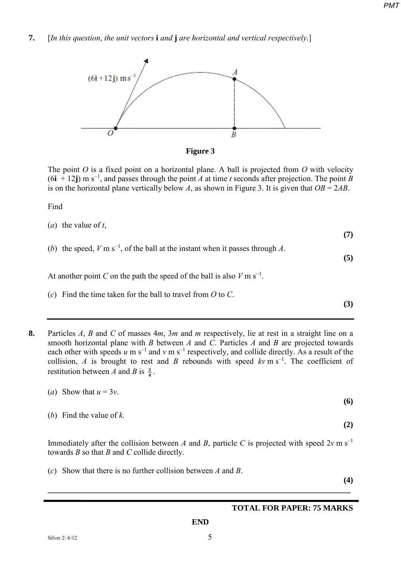**7.** [*In this question*, *the unit vectors* **i** *and* **j** *are horizontal and vertical respectively*.]





The point *O* is a fixed point on a horizontal plane. A ball is projected from *O* with velocity  $(6\mathbf{i} + 12\mathbf{j})$  m s<sup>-1</sup>, and passes through the point *A* at time *t* seconds after projection. The point *B* is on the horizontal plane vertically below *A*, as shown in Figure 3. It is given that  $OB = 2AB$ .

Find

- (*a*) the value of *t*, **(7)** (*b*) the speed,  $V \text{ m s}^{-1}$ , of the ball at the instant when it passes through *A*. **(5)** At another point *C* on the path the speed of the ball is also  $V \text{ m s}^{-1}$ . (*c*) Find the time taken for the ball to travel from *O* to *C*. **(3)**
- **8.** Particles *A*, *B* and *C* of masses 4*m*, 3*m* and *m* respectively, lie at rest in a straight line on a smooth horizontal plane with *B* between *A* and *C*. Particles *A* and *B* are projected towards each other with speeds  $u$  m s<sup>-1</sup> and  $v$  m s<sup>-1</sup> respectively, and collide directly. As a result of the collision, *A* is brought to rest and *B* rebounds with speed  $kv \text{ m s}^{-1}$ . The coefficient of restitution between *A* and *B* is  $\frac{3}{4}$ .

| ( <i>a</i> ) Show that $u = 3v$ . |  |     |
|-----------------------------------|--|-----|
|                                   |  | (6) |

**(2)**

Immediately after the collision between *A* and *B*, particle *C* is projected with speed  $2v \text{ m s}^{-1}$ towards *B* so that *B* and *C* collide directly.

**\_\_\_\_\_\_\_\_\_\_\_\_\_\_\_\_\_\_\_\_\_\_\_\_\_\_\_\_\_\_\_\_\_\_\_\_\_\_\_\_\_\_\_\_\_\_\_\_\_\_\_\_\_\_\_\_\_\_\_\_\_\_\_\_\_\_\_\_\_\_\_\_\_\_\_** 

(*c*) Show that there is no further collision between *A* and *B*.

**(4)**

## **TOTAL FOR PAPER: 75 MARKS**

(*b*) Find the value of *k*.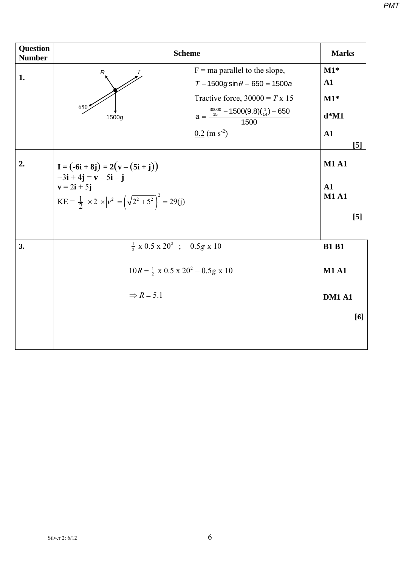| <b>Question</b><br><b>Number</b> | <b>Scheme</b>                                                                                                       |                                |  |  |
|----------------------------------|---------------------------------------------------------------------------------------------------------------------|--------------------------------|--|--|
| 1.                               | $F = ma$ parallel to the slope,<br>T<br>R                                                                           | $M1*$                          |  |  |
|                                  | $T - 1500$ gsin $\theta - 650 = 1500$ a                                                                             | $\mathbf{A1}$                  |  |  |
|                                  | Tractive force, $30000 = T \times 15$                                                                               | $M1*$                          |  |  |
|                                  | 650<br>$a = \frac{\frac{30000}{15} - 1500(9.8)(\frac{1}{14}) - 650}{1500}$<br>1500g                                 | $d*M1$                         |  |  |
|                                  | $0.2$ (m s <sup>-2</sup> )                                                                                          | ${\bf A1}$<br>$\left[5\right]$ |  |  |
| 2.                               | $I = (-6i + 8j) = 2(v - (5i + j))$<br>$-3\mathbf{i} + 4\mathbf{j} = \mathbf{v} - 5\mathbf{i} - \mathbf{j}$          | <b>M1 A1</b>                   |  |  |
|                                  | $\mathbf{v} = 2\mathbf{i} + 5\mathbf{j}$<br>$KE = \frac{1}{2} \times 2 \times  v^2  = (\sqrt{2^2 + 5^2})^2 = 29(j)$ | A1<br><b>M1 A1</b>             |  |  |
|                                  |                                                                                                                     | [5]                            |  |  |
| 3.                               | $\frac{1}{2} \times 0.5 \times 20^2$ ; 0.5g x 10                                                                    | <b>B1 B1</b>                   |  |  |
|                                  | $10R = \frac{1}{2} \times 0.5 \times 20^2 - 0.5g \times 10$                                                         | <b>M1 A1</b>                   |  |  |
|                                  | $\Rightarrow$ R = 5.1                                                                                               | <b>DM1 A1</b>                  |  |  |
|                                  |                                                                                                                     | [6]                            |  |  |
|                                  |                                                                                                                     |                                |  |  |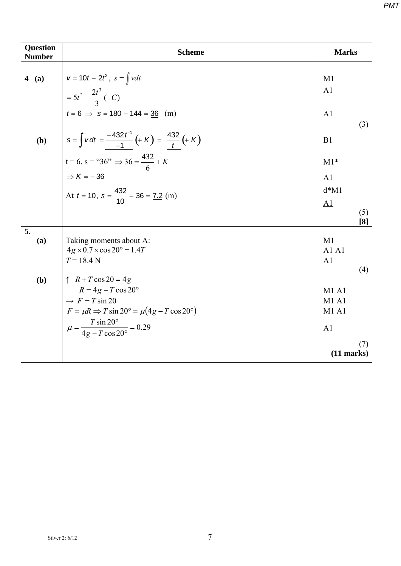| <b>Question</b><br><b>Number</b> |     | <b>Scheme</b>                                                                                                                                                                                                                                       | <b>Marks</b>         |            |
|----------------------------------|-----|-----------------------------------------------------------------------------------------------------------------------------------------------------------------------------------------------------------------------------------------------------|----------------------|------------|
|                                  |     | 4 (a) $v = 10t - 2t^2$ , $s = \int v dt$<br>= $5t^2 - \frac{2t^3}{3}$ (+C)<br>$t = 6 \implies s = 180 - 144 = \frac{36}{3}$ (m)                                                                                                                     | M1<br>A <sub>1</sub> |            |
|                                  |     |                                                                                                                                                                                                                                                     | A <sub>1</sub>       | (3)        |
|                                  | (b) | $\underline{s} = \int v \, dt = \frac{-432 \, t^{-1}}{-1} \left( + K \right) = \frac{432}{t} \left( + K \right)$<br>$t = 6, s = "36" \Rightarrow 36 = \frac{432}{6} + K$<br>$\Rightarrow K = -36$<br>At $t = 10, s = \frac{432}{10} - 36 = 7.2$ (m) | <u>B1</u>            |            |
|                                  |     |                                                                                                                                                                                                                                                     | $M1*$                |            |
|                                  |     |                                                                                                                                                                                                                                                     | A <sub>1</sub>       |            |
|                                  |     |                                                                                                                                                                                                                                                     |                      |            |
|                                  |     |                                                                                                                                                                                                                                                     | A <sub>1</sub>       |            |
|                                  |     |                                                                                                                                                                                                                                                     |                      | (5)<br>[8] |
| 5.                               |     |                                                                                                                                                                                                                                                     |                      |            |
|                                  | (a) | Taking moments about A:<br>$4g \times 0.7 \times \cos 20^\circ = 1.4T$                                                                                                                                                                              | M1<br>A1A1           |            |
|                                  |     | $T = 18.4 N$                                                                                                                                                                                                                                        | A <sub>1</sub>       |            |
|                                  |     |                                                                                                                                                                                                                                                     |                      | (4)        |
|                                  | (b) | $\uparrow$ $R + T \cos 20 = 4g$                                                                                                                                                                                                                     |                      |            |
|                                  |     | $R = 4g - T \cos 20^{\circ}$                                                                                                                                                                                                                        | M1A1                 |            |
|                                  |     | $\rightarrow$ F = T sin 20                                                                                                                                                                                                                          | M1A1                 |            |
|                                  |     | $F = \mu R \Rightarrow T \sin 20^\circ = \mu (4g - T \cos 20^\circ)$                                                                                                                                                                                | M1A1                 |            |
|                                  |     | $\mu = \frac{T \sin 20^{\circ}}{4g - T \cos 20^{\circ}} = 0.29$                                                                                                                                                                                     | A <sub>1</sub>       |            |
|                                  |     |                                                                                                                                                                                                                                                     | $(11$ marks)         | (7)        |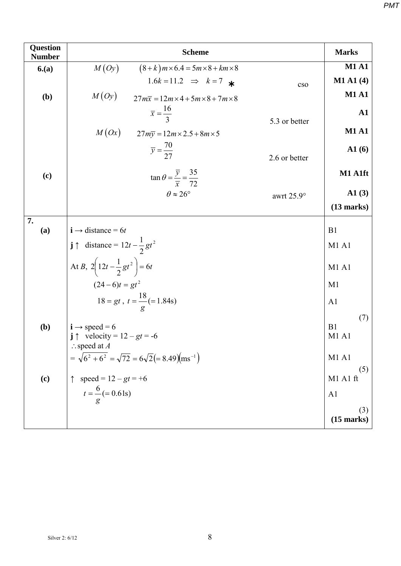| <b>Question</b><br><b>Number</b> | <b>Scheme</b>                                                                                                         |                   | <b>Marks</b>        |
|----------------------------------|-----------------------------------------------------------------------------------------------------------------------|-------------------|---------------------|
| 6(a)                             | M(Oy)<br>$(8+k)m \times 6.4 = 5m \times 8 + km \times 8$                                                              |                   | <b>M1 A1</b>        |
|                                  | 1.6k = 11.2 $\implies$ k = 7 $\star$                                                                                  | cso               | $M1$ A1 $(4)$       |
| (b)                              | M(Oy)<br>$27m\overline{x} = 12m \times 4 + 5m \times 8 + 7m \times 8$                                                 |                   | <b>M1 A1</b>        |
|                                  | $\overline{x} = \frac{16}{2}$                                                                                         | 5.3 or better     | ${\bf A1}$          |
|                                  | $M(Ox)$ $27m\overline{y} = 12m \times 2.5 + 8m \times 5$                                                              |                   | <b>M1 A1</b>        |
|                                  | $\overline{y} = \frac{70}{27}$                                                                                        | 2.6 or better     | A1(6)               |
| (c)                              | $\tan \theta = \frac{\overline{y}}{\overline{x}} = \frac{35}{72}$                                                     |                   | M1 A1ft             |
|                                  | $\theta \approx 26^{\circ}$                                                                                           | awrt $25.9^\circ$ | $\mathbf{A1}$ (3)   |
|                                  |                                                                                                                       |                   | $(13$ marks)        |
| 7.                               |                                                                                                                       |                   |                     |
| (a)                              | $\mathbf{i} \rightarrow \text{distance} = 6t$                                                                         |                   | B1                  |
|                                  | $\mathbf{j} \uparrow$ distance = $12t - \frac{1}{2}gt^2$                                                              |                   | <b>M1 A1</b>        |
|                                  | At B, $2\left(12t-\frac{1}{2}gt^2\right)=6t$                                                                          |                   | M1A1                |
|                                  | $(24-6)t = gt^2$                                                                                                      | M <sub>1</sub>    |                     |
|                                  | $18 = gt$ , $t = \frac{18}{g} (= 1.84s)$                                                                              |                   | A <sub>1</sub>      |
| (b)                              | $\mathbf{i} \rightarrow \text{speed} = 6$<br>$\mathbf{j} \uparrow$ velocity = 12 – gt = -6<br>$\therefore$ speed at A |                   | (7)<br>B1<br>M1 A1  |
|                                  | $= \sqrt{6^2 + 6^2} = \sqrt{72} = 6\sqrt{2} = 8.49 \text{ (ms}^{-1)}$                                                 |                   | M1 A1               |
| (c)                              | speed = $12 - gt = +6$                                                                                                |                   | (5)<br>M1 A1 ft     |
|                                  | $t = \frac{6}{g} (= 0.61s)$                                                                                           |                   | A <sub>1</sub>      |
|                                  |                                                                                                                       |                   | (3)<br>$(15$ marks) |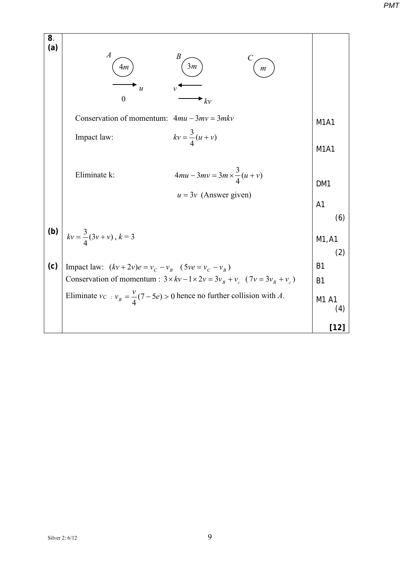**8**. **(a)** Conservation of momentum:  $4mu-3mv=3mkv$ Impact law:  $kv = \frac{3}{4}(u+v)$ Eliminate k:  $4mu - 3mv = 3m \times \frac{3}{4}(u+v)$  $u = 3v$  (Answer given) M1A1 M1A1 DM1 A1 (6) **(b)**  $k v = \frac{3}{4}(3v + v)$ ,  $k = 3$  M1,A1 (2) **(c)** Impact law:  $(kv + 2v)e = v_c - v_B$  (5*ve* =  $v_c - v_B$ ) Conservation of momentum :  $3 \times kv - 1 \times 2v = 3v_B + v_c$  (  $7v = 3v_B + v_c$  ) Eliminate  $v_c$ :  $v_B = \frac{v}{4}(7-5e) > 0$  hence no further collision with *A*. B1 B1 M1 A1 (4) **[12]** 4*m* ) (3*m* ) (*m*  $A \sim$   $B \sim$  *C u v* 0  $k_v$ 

Silver 2:  $6/12$  9

*PMT*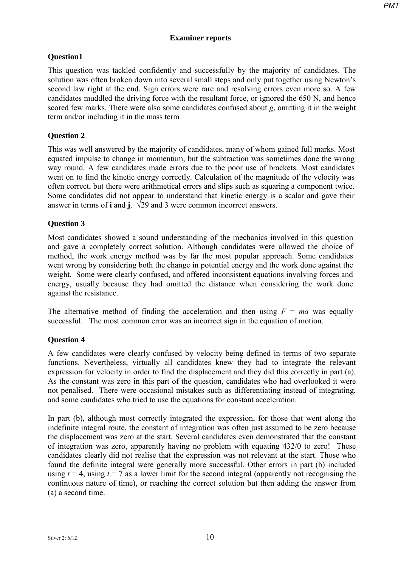## **Examiner reports**

# **Question1**

This question was tackled confidently and successfully by the majority of candidates. The solution was often broken down into several small steps and only put together using Newton's second law right at the end. Sign errors were rare and resolving errors even more so. A few candidates muddled the driving force with the resultant force, or ignored the 650 N, and hence scored few marks. There were also some candidates confused about *g*, omitting it in the weight term and/or including it in the mass term

# **Question 2**

This was well answered by the majority of candidates, many of whom gained full marks. Most equated impulse to change in momentum, but the subtraction was sometimes done the wrong way round. A few candidates made errors due to the poor use of brackets. Most candidates went on to find the kinetic energy correctly. Calculation of the magnitude of the velocity was often correct, but there were arithmetical errors and slips such as squaring a component twice. Some candidates did not appear to understand that kinetic energy is a scalar and gave their answer in terms of **i** and **j**.  $\sqrt{29}$  and 3 were common incorrect answers.

# **Question 3**

Most candidates showed a sound understanding of the mechanics involved in this question and gave a completely correct solution. Although candidates were allowed the choice of method, the work energy method was by far the most popular approach. Some candidates went wrong by considering both the change in potential energy and the work done against the weight. Some were clearly confused, and offered inconsistent equations involving forces and energy, usually because they had omitted the distance when considering the work done against the resistance.

The alternative method of finding the acceleration and then using  $F = ma$  was equally successful. The most common error was an incorrect sign in the equation of motion.

## **Question 4**

A few candidates were clearly confused by velocity being defined in terms of two separate functions. Nevertheless, virtually all candidates knew they had to integrate the relevant expression for velocity in order to find the displacement and they did this correctly in part (a). As the constant was zero in this part of the question, candidates who had overlooked it were not penalised. There were occasional mistakes such as differentiating instead of integrating, and some candidates who tried to use the equations for constant acceleration.

In part (b), although most correctly integrated the expression, for those that went along the indefinite integral route, the constant of integration was often just assumed to be zero because the displacement was zero at the start. Several candidates even demonstrated that the constant of integration was zero, apparently having no problem with equating 432/0 to zero! These candidates clearly did not realise that the expression was not relevant at the start. Those who found the definite integral were generally more successful. Other errors in part (b) included using  $t = 4$ , using  $t = 7$  as a lower limit for the second integral (apparently not recognising the continuous nature of time), or reaching the correct solution but then adding the answer from (a) a second time.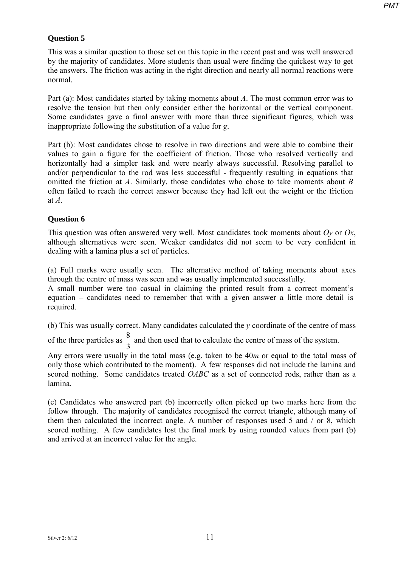### **Question 5**

This was a similar question to those set on this topic in the recent past and was well answered by the majority of candidates. More students than usual were finding the quickest way to get the answers. The friction was acting in the right direction and nearly all normal reactions were normal.

Part (a): Most candidates started by taking moments about *A*. The most common error was to resolve the tension but then only consider either the horizontal or the vertical component. Some candidates gave a final answer with more than three significant figures, which was inappropriate following the substitution of a value for *g*.

Part (b): Most candidates chose to resolve in two directions and were able to combine their values to gain a figure for the coefficient of friction. Those who resolved vertically and horizontally had a simpler task and were nearly always successful. Resolving parallel to and/or perpendicular to the rod was less successful - frequently resulting in equations that omitted the friction at *A*. Similarly, those candidates who chose to take moments about *B* often failed to reach the correct answer because they had left out the weight or the friction at *A*.

#### **Question 6**

This question was often answered very well. Most candidates took moments about *Oy* or *Ox*, although alternatives were seen. Weaker candidates did not seem to be very confident in dealing with a lamina plus a set of particles.

(a) Full marks were usually seen. The alternative method of taking moments about axes through the centre of mass was seen and was usually implemented successfully.

A small number were too casual in claiming the printed result from a correct moment's equation – candidates need to remember that with a given answer a little more detail is required.

(b) This was usually correct. Many candidates calculated the *y* coordinate of the centre of mass

of the three particles as  $\frac{8}{3}$  and then used that to calculate the centre of mass of the system.

Any errors were usually in the total mass (e.g. taken to be 40*m* or equal to the total mass of only those which contributed to the moment). A few responses did not include the lamina and scored nothing. Some candidates treated *OABC* as a set of connected rods, rather than as a lamina.

(c) Candidates who answered part (b) incorrectly often picked up two marks here from the follow through. The majority of candidates recognised the correct triangle, although many of them then calculated the incorrect angle. A number of responses used 5 and / or 8, which scored nothing. A few candidates lost the final mark by using rounded values from part (b) and arrived at an incorrect value for the angle.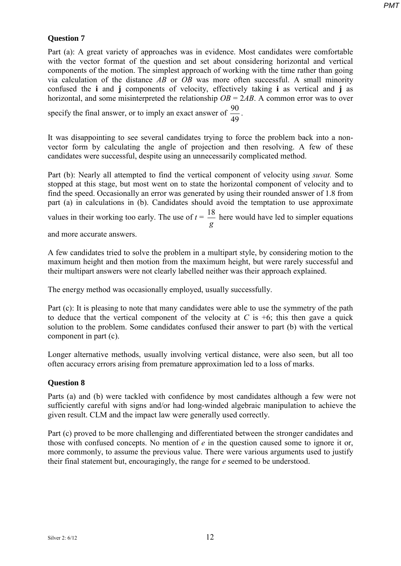#### **Question 7**

Part (a): A great variety of approaches was in evidence. Most candidates were comfortable with the vector format of the question and set about considering horizontal and vertical components of the motion. The simplest approach of working with the time rather than going via calculation of the distance *AB* or *OB* was more often successful. A small minority confused the **i** and **j** components of velocity, effectively taking **i** as vertical and **j** as horizontal, and some misinterpreted the relationship *OB* = 2*AB*. A common error was to over

specify the final answer, or to imply an exact answer of  $\frac{90}{49}$ .

It was disappointing to see several candidates trying to force the problem back into a nonvector form by calculating the angle of projection and then resolving. A few of these candidates were successful, despite using an unnecessarily complicated method.

Part (b): Nearly all attempted to find the vertical component of velocity using *suvat.* Some stopped at this stage, but most went on to state the horizontal component of velocity and to find the speed. Occasionally an error was generated by using their rounded answer of 1.8 from part (a) in calculations in (b). Candidates should avoid the temptation to use approximate values in their working too early. The use of  $t =$ *g*  $\frac{18}{2}$  here would have led to simpler equations

and more accurate answers.

A few candidates tried to solve the problem in a multipart style, by considering motion to the maximum height and then motion from the maximum height, but were rarely successful and their multipart answers were not clearly labelled neither was their approach explained.

The energy method was occasionally employed, usually successfully.

Part (c): It is pleasing to note that many candidates were able to use the symmetry of the path to deduce that the vertical component of the velocity at  $C$  is  $+6$ ; this then gave a quick solution to the problem. Some candidates confused their answer to part (b) with the vertical component in part (c).

Longer alternative methods, usually involving vertical distance, were also seen, but all too often accuracy errors arising from premature approximation led to a loss of marks.

#### **Question 8**

Parts (a) and (b) were tackled with confidence by most candidates although a few were not sufficiently careful with signs and/or had long-winded algebraic manipulation to achieve the given result. CLM and the impact law were generally used correctly.

Part (c) proved to be more challenging and differentiated between the stronger candidates and those with confused concepts. No mention of *e* in the question caused some to ignore it or, more commonly, to assume the previous value. There were various arguments used to justify their final statement but, encouragingly, the range for *e* seemed to be understood.